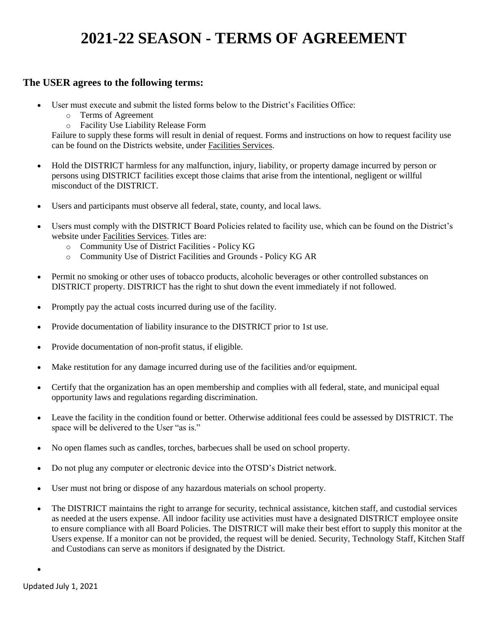# **2021-22 SEASON - TERMS OF AGREEMENT**

#### **The USER agrees to the following terms:**

- User must execute and submit the listed forms below to the District's Facilities Office:
	- o Terms of Agreement
	- o Facility Use Liability Release Form

Failure to supply these forms will result in denial of request. Forms and instructions on how to request facility use can be found on the Districts website, under Facilities Services.

- Hold the DISTRICT harmless for any malfunction, injury, liability, or property damage incurred by person or persons using DISTRICT facilities except those claims that arise from the intentional, negligent or willful misconduct of the DISTRICT.
- Users and participants must observe all federal, state, county, and local laws.
- Users must comply with the DISTRICT Board Policies related to facility use, which can be found on the District's website under Facilities Services. Titles are:
	- o Community Use of District Facilities Policy KG
	- o Community Use of District Facilities and Grounds Policy KG AR
- Permit no smoking or other uses of tobacco products, alcoholic beverages or other controlled substances on DISTRICT property. DISTRICT has the right to shut down the event immediately if not followed.
- Promptly pay the actual costs incurred during use of the facility.
- Provide documentation of liability insurance to the DISTRICT prior to 1st use.
- Provide documentation of non-profit status, if eligible.
- Make restitution for any damage incurred during use of the facilities and/or equipment.
- Certify that the organization has an open membership and complies with all federal, state, and municipal equal opportunity laws and regulations regarding discrimination.
- Leave the facility in the condition found or better. Otherwise additional fees could be assessed by DISTRICT. The space will be delivered to the User "as is."
- No open flames such as candles, torches, barbecues shall be used on school property.
- Do not plug any computer or electronic device into the OTSD's District network.
- User must not bring or dispose of any hazardous materials on school property.
- The DISTRICT maintains the right to arrange for security, technical assistance, kitchen staff, and custodial services as needed at the users expense. All indoor facility use activities must have a designated DISTRICT employee onsite to ensure compliance with all Board Policies. The DISTRICT will make their best effort to supply this monitor at the Users expense. If a monitor can not be provided, the request will be denied. Security, Technology Staff, Kitchen Staff and Custodians can serve as monitors if designated by the District.

 $\bullet$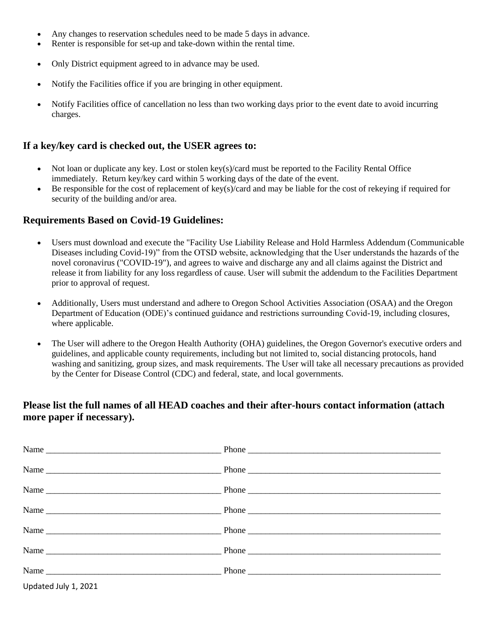- Any changes to reservation schedules need to be made 5 days in advance.
- Renter is responsible for set-up and take-down within the rental time.
- Only District equipment agreed to in advance may be used.
- Notify the Facilities office if you are bringing in other equipment.
- Notify Facilities office of cancellation no less than two working days prior to the event date to avoid incurring charges.

### **If a key/key card is checked out, the USER agrees to:**

- Not loan or duplicate any key. Lost or stolen key(s)/card must be reported to the Facility Rental Office immediately. Return key/key card within 5 working days of the date of the event.
- Be responsible for the cost of replacement of key(s)/card and may be liable for the cost of rekeying if required for security of the building and/or area.

#### **Requirements Based on Covid-19 Guidelines:**

- Users must download and execute the "Facility Use Liability Release and Hold Harmless Addendum (Communicable Diseases including Covid-19)" from the OTSD website, acknowledging that the User understands the hazards of the novel coronavirus ("COVID-19"), and agrees to waive and discharge any and all claims against the District and release it from liability for any loss regardless of cause. User will submit the addendum to the Facilities Department prior to approval of request.
- Additionally, Users must understand and adhere to Oregon School Activities Association (OSAA) and the Oregon Department of Education (ODE)'s continued guidance and restrictions surrounding Covid-19, including closures, where applicable.
- The User will adhere to the Oregon Health Authority (OHA) guidelines, the Oregon Governor's executive orders and guidelines, and applicable county requirements, including but not limited to, social distancing protocols, hand washing and sanitizing, group sizes, and mask requirements. The User will take all necessary precautions as provided by the Center for Disease Control (CDC) and federal, state, and local governments.

### **Please list the full names of all HEAD coaches and their after-hours contact information (attach more paper if necessary).**

Updated July 1, 2021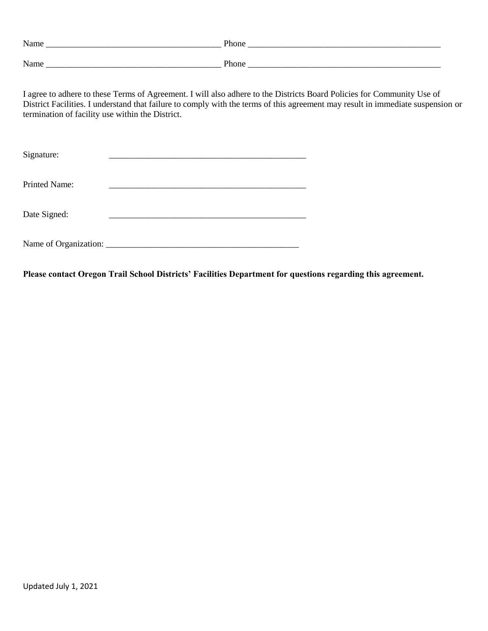| termination of facility use within the District. | I agree to adhere to these Terms of Agreement. I will also adhere to the Districts Board Policies for Community Use of<br>District Facilities. I understand that failure to comply with the terms of this agreement may result in immediate suspension or |  |
|--------------------------------------------------|-----------------------------------------------------------------------------------------------------------------------------------------------------------------------------------------------------------------------------------------------------------|--|
| Signature:                                       |                                                                                                                                                                                                                                                           |  |
| <b>Printed Name:</b>                             |                                                                                                                                                                                                                                                           |  |
| Date Signed:                                     |                                                                                                                                                                                                                                                           |  |
|                                                  |                                                                                                                                                                                                                                                           |  |

**Please contact Oregon Trail School Districts' Facilities Department for questions regarding this agreement.**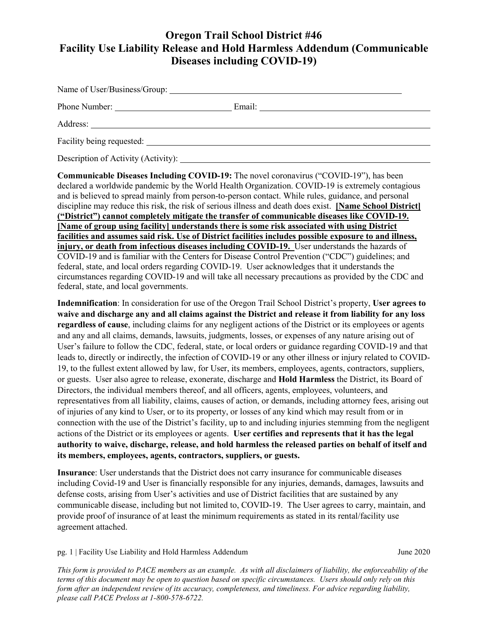# **Oregon Trail School District #46 Facility Use Liability Release and Hold Harmless Addendum (Communicable Diseases including COVID-19)**

| Name of User/Business/Group: 2003. 2014. 2015. 2016. 2017. 2018. 2019. 2016. 2017. 2018. 2019. 2016. 2017. 2018. 2019. 2016. 2017. 2018. 2019. 2019. 2017. 2018. 2019. 2019. 2019. 2017. 2018. 2019. 2019. 2019. 2019. 2019. 2 |                                               |
|--------------------------------------------------------------------------------------------------------------------------------------------------------------------------------------------------------------------------------|-----------------------------------------------|
|                                                                                                                                                                                                                                | Email: <u>_______________________________</u> |
|                                                                                                                                                                                                                                |                                               |
| Facility being requested:                                                                                                                                                                                                      |                                               |
|                                                                                                                                                                                                                                |                                               |

Description of Activity (Activity):

**Communicable Diseases Including COVID-19:** The novel coronavirus ("COVID-19"), has been declared a worldwide pandemic by the World Health Organization. COVID-19 is extremely contagious and is believed to spread mainly from person-to-person contact. While rules, guidance, and personal discipline may reduce this risk, the risk of serious illness and death does exist. **[Name School District] ("District") cannot completely mitigate the transfer of communicable diseases like COVID-19. [Name of group using facility] understands there is some risk associated with using District facilities and assumes said risk. Use of District facilities includes possible exposure to and illness, injury, or death from infectious diseases including COVID-19.** User understands the hazards of COVID-19 and is familiar with the Centers for Disease Control Prevention ("CDC") guidelines; and federal, state, and local orders regarding COVID-19. User acknowledges that it understands the circumstances regarding COVID-19 and will take all necessary precautions as provided by the CDC and federal, state, and local governments.

**Indemnification**: In consideration for use of the Oregon Trail School District's property, **User agrees to waive and discharge any and all claims against the District and release it from liability for any loss regardless of cause**, including claims for any negligent actions of the District or its employees or agents and any and all claims, demands, lawsuits, judgments, losses, or expenses of any nature arising out of User's failure to follow the CDC, federal, state, or local orders or guidance regarding COVID-19 and that leads to, directly or indirectly, the infection of COVID-19 or any other illness or injury related to COVID-19, to the fullest extent allowed by law, for User, its members, employees, agents, contractors, suppliers, or guests. User also agree to release, exonerate, discharge and **Hold Harmless** the District, its Board of Directors, the individual members thereof, and all officers, agents, employees, volunteers, and representatives from all liability, claims, causes of action, or demands, including attorney fees, arising out of injuries of any kind to User, or to its property, or losses of any kind which may result from or in connection with the use of the District's facility, up to and including injuries stemming from the negligent actions of the District or its employees or agents. **User certifies and represents that it has the legal authority to waive, discharge, release, and hold harmless the released parties on behalf of itself and its members, employees, agents, contractors, suppliers, or guests.**

**Insurance**: User understands that the District does not carry insurance for communicable diseases including Covid-19 and User is financially responsible for any injuries, demands, damages, lawsuits and defense costs, arising from User's activities and use of District facilities that are sustained by any communicable disease, including but not limited to, COVID-19. The User agrees to carry, maintain, and provide proof of insurance of at least the minimum requirements as stated in its rental/facility use agreement attached.

pg. 1 | Facility Use Liability and Hold Harmless Addendum June 2020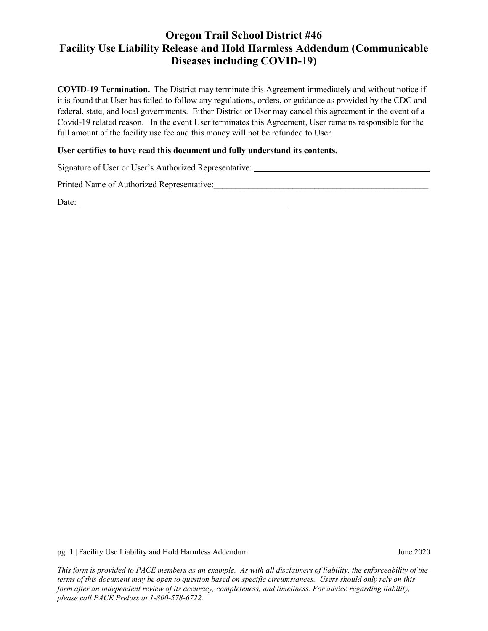# **Oregon Trail School District #46 Facility Use Liability Release and Hold Harmless Addendum (Communicable Diseases including COVID-19)**

**COVID-19 Termination.** The District may terminate this Agreement immediately and without notice if it is found that User has failed to follow any regulations, orders, or guidance as provided by the CDC and federal, state, and local governments. Either District or User may cancel this agreement in the event of a Covid-19 related reason. In the event User terminates this Agreement, User remains responsible for the full amount of the facility use fee and this money will not be refunded to User.

#### **User certifies to have read this document and fully understand its contents.**

Signature of User or User's Authorized Representative:

Printed Name of Authorized Representative:\_\_\_\_\_\_\_\_\_\_\_\_\_\_\_\_\_\_\_\_\_\_\_\_\_\_\_\_\_\_\_\_\_\_\_\_\_\_\_\_\_\_\_\_\_\_\_\_\_

Date:

pg. 1 | Facility Use Liability and Hold Harmless Addendum June 2020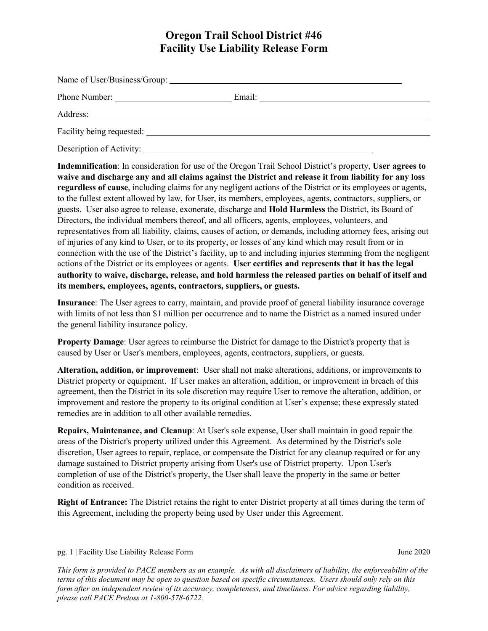# **Oregon Trail School District #46 Facility Use Liability Release Form**

| Phone Number: | Email: |  |
|---------------|--------|--|
|               |        |  |
|               |        |  |
|               |        |  |

Description of Activity:

**Indemnification**: In consideration for use of the Oregon Trail School District's property, **User agrees to waive and discharge any and all claims against the District and release it from liability for any loss regardless of cause**, including claims for any negligent actions of the District or its employees or agents, to the fullest extent allowed by law, for User, its members, employees, agents, contractors, suppliers, or guests. User also agree to release, exonerate, discharge and **Hold Harmless** the District, its Board of Directors, the individual members thereof, and all officers, agents, employees, volunteers, and representatives from all liability, claims, causes of action, or demands, including attorney fees, arising out of injuries of any kind to User, or to its property, or losses of any kind which may result from or in connection with the use of the District's facility, up to and including injuries stemming from the negligent actions of the District or its employees or agents. **User certifies and represents that it has the legal authority to waive, discharge, release, and hold harmless the released parties on behalf of itself and its members, employees, agents, contractors, suppliers, or guests.**

**Insurance**: The User agrees to carry, maintain, and provide proof of general liability insurance coverage with limits of not less than \$1 million per occurrence and to name the District as a named insured under the general liability insurance policy.

**Property Damage**: User agrees to reimburse the District for damage to the District's property that is caused by User or User's members, employees, agents, contractors, suppliers, or guests.

**Alteration, addition, or improvement**: User shall not make alterations, additions, or improvements to District property or equipment. If User makes an alteration, addition, or improvement in breach of this agreement, then the District in its sole discretion may require User to remove the alteration, addition, or improvement and restore the property to its original condition at User's expense; these expressly stated remedies are in addition to all other available remedies.

**Repairs, Maintenance, and Cleanup**: At User's sole expense, User shall maintain in good repair the areas of the District's property utilized under this Agreement. As determined by the District's sole discretion, User agrees to repair, replace, or compensate the District for any cleanup required or for any damage sustained to District property arising from User's use of District property. Upon User's completion of use of the District's property, the User shall leave the property in the same or better condition as received.

**Right of Entrance:** The District retains the right to enter District property at all times during the term of this Agreement, including the property being used by User under this Agreement.

#### pg. 1 | Facility Use Liability Release Form June 2020